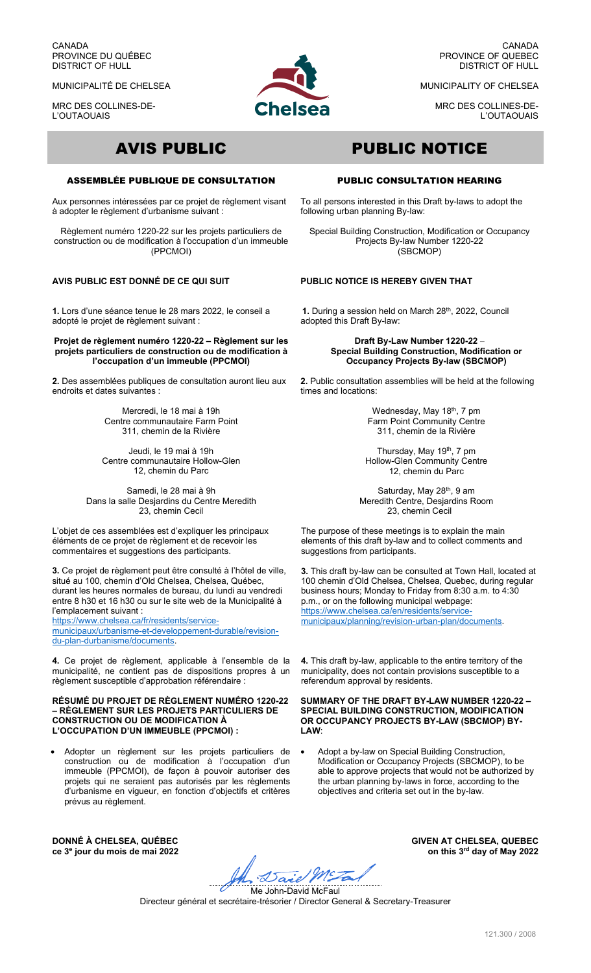CANADA PROVINCE DU QUÉBEC DISTRICT OF HULL

MUNICIPALITÉ DE CHELSEA

MRC DES COLLINES-DE-L'OUTAOUAIS



CANADA PROVINCE OF QUEBEC DISTRICT OF HULL

MUNICIPALITY OF CHELSEA

MRC DES COLLINES-DE-L'OUTAOUAIS

# ASSEMBLÉE PUBLIQUE DE CONSULTATION

Aux personnes intéressées par ce projet de règlement visant à adopter le règlement d'urbanisme suivant :

Règlement numéro 1220-22 sur les projets particuliers de construction ou de modification à l'occupation d'un immeuble (PPCMOI)

# **AVIS PUBLIC EST DONNÉ DE CE QUI SUIT**

**1.** Lors d'une séance tenue le 28 mars 2022, le conseil a adopté le projet de règlement suivant :

**Projet de règlement numéro 1220-22 – Règlement sur les projets particuliers de construction ou de modification à l'occupation d'un immeuble (PPCMOI)** 

**2.** Des assemblées publiques de consultation auront lieu aux endroits et dates suivantes :

> Mercredi, le 18 mai à 19h Centre communautaire Farm Point 311, chemin de la Rivière

Jeudi, le 19 mai à 19h Centre communautaire Hollow-Glen 12, chemin du Parc

Samedi, le 28 mai à 9h Dans la salle Desjardins du Centre Meredith 23, chemin Cecil

L'objet de ces assemblées est d'expliquer les principaux éléments de ce projet de règlement et de recevoir les commentaires et suggestions des participants.

**3.** Ce projet de règlement peut être consulté à l'hôtel de ville, situé au 100, chemin d'Old Chelsea, Chelsea, Québec, durant les heures normales de bureau, du lundi au vendredi entre 8 h30 et 16 h30 ou sur le site web de la Municipalité à l'emplacement suivant :

https://www.chelsea.ca/fr/residents/servicemunicipaux/urbanisme-et-developpement-durable/revisiondu-plan-durbanisme/documents.

**4.** Ce projet de règlement, applicable à l'ensemble de la municipalité, ne contient pas de dispositions propres à un règlement susceptible d'approbation référendaire :

### **RÉSUMÉ DU PROJET DE RÈGLEMENT NUMÉRO 1220-22 – RÈGLEMENT SUR LES PROJETS PARTICULIERS DE CONSTRUCTION OU DE MODIFICATION À L'OCCUPATION D'UN IMMEUBLE (PPCMOI) :**

 Adopter un règlement sur les projets particuliers de construction ou de modification à l'occupation d'un immeuble (PPCMOI), de façon à pouvoir autoriser des projets qui ne seraient pas autorisés par les règlements d'urbanisme en vigueur, en fonction d'objectifs et critères prévus au règlement.

 $\overline{a}$ 

# AVIS PUBLIC PUBLIC NOTICE

# PUBLIC CONSULTATION HEARING

To all persons interested in this Draft by-laws to adopt the following urban planning By-law:

Special Building Construction, Modification or Occupancy Projects By-law Number 1220-22 (SBCMOP)

## **PUBLIC NOTICE IS HEREBY GIVEN THAT**

1. During a session held on March 28<sup>th</sup>, 2022, Council adopted this Draft By-law:

> **Draft By-Law Number 1220-22** – **Special Building Construction, Modification or Occupancy Projects By-law (SBCMOP)**

**2.** Public consultation assemblies will be held at the following times and locations:

> Wednesday, May 18<sup>th</sup>, 7 pm Farm Point Community Centre 311, chemin de la Rivière

Thursday, May 19<sup>th</sup>, 7 pm Hollow-Glen Community Centre 12, chemin du Parc

Saturday, May 28<sup>th</sup>, 9 am Meredith Centre, Desjardins Room 23, chemin Cecil

The purpose of these meetings is to explain the main elements of this draft by-law and to collect comments and suggestions from participants.

**3.** This draft by-law can be consulted at Town Hall, located at 100 chemin d'Old Chelsea, Chelsea, Quebec, during regular business hours; Monday to Friday from 8:30 a.m. to 4:30 p.m., or on the following municipal webpage: https://www.chelsea.ca/en/residents/servicemunicipaux/planning/revision-urban-plan/documents.

**4.** This draft by-law, applicable to the entire territory of the municipality, does not contain provisions susceptible to a referendum approval by residents.

**SUMMARY OF THE DRAFT BY-LAW NUMBER 1220-22 – SPECIAL BUILDING CONSTRUCTION, MODIFICATION OR OCCUPANCY PROJECTS BY-LAW (SBCMOP) BY-LAW**:

 Adopt a by-law on Special Building Construction, Modification or Occupancy Projects (SBCMOP), to be able to approve projects that would not be authorized by the urban planning by-laws in force, according to the objectives and criteria set out in the by-law.

**DONNÉ À CHELSEA, QUÉBEC ce 3e jour du mois de mai 2022**

Said MEZ

**GIVEN AT CHELSEA, QUEBEC on this 3rd day of May 2022**

Me John-David McFaul Directeur général et secrétaire-trésorier / Director General & Secretary-Treasurer